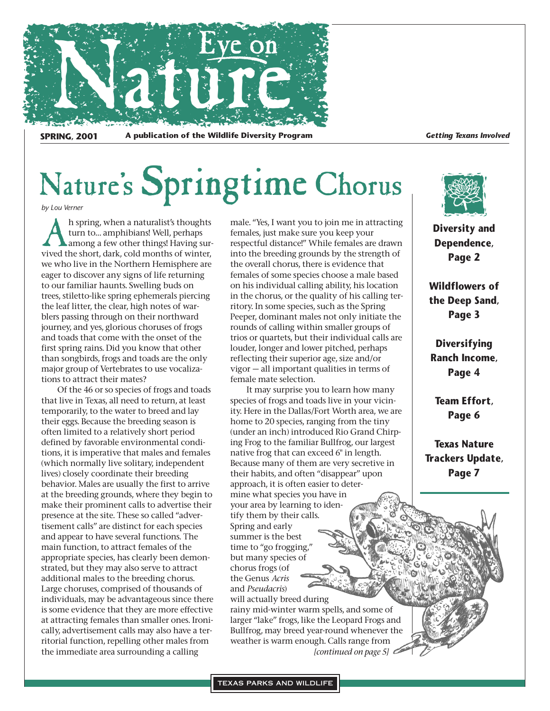

SPRING, 2001 A publication of the Wildlife Diversity Program *Getting Texans Involved* 

# Nature's Springtime Chorus

*by Lou Verner*

Ah spring, when a naturalist's thoughts<br>turn to... amphibians! Well, perhaps<br>vived the short, dark, cold months of winter, turn to… amphibians! Well, perhaps among a few other things! Having surwe who live in the Northern Hemisphere are eager to discover any signs of life returning to our familiar haunts. Swelling buds on trees, stiletto-like spring ephemerals piercing the leaf litter, the clear, high notes of warblers passing through on their northward journey, and yes, glorious choruses of frogs and toads that come with the onset of the first spring rains. Did you know that other than songbirds, frogs and toads are the only major group of Vertebrates to use vocalizations to attract their mates?

Of the 46 or so species of frogs and toads that live in Texas, all need to return, at least temporarily, to the water to breed and lay their eggs. Because the breeding season is often limited to a relatively short period defined by favorable environmental conditions, it is imperative that males and females (which normally live solitary, independent lives) closely coordinate their breeding behavior. Males are usually the first to arrive at the breeding grounds, where they begin to make their prominent calls to advertise their presence at the site. These so called "advertisement calls" are distinct for each species and appear to have several functions. The main function, to attract females of the appropriate species, has clearly been demonstrated, but they may also serve to attract additional males to the breeding chorus. Large choruses, comprised of thousands of individuals, may be advantageous since there is some evidence that they are more effective at attracting females than smaller ones. Ironically, advertisement calls may also have a territorial function, repelling other males from the immediate area surrounding a calling

male. "Yes, I want you to join me in attracting females, just make sure you keep your respectful distance!" While females are drawn into the breeding grounds by the strength of the overall chorus, there is evidence that females of some species choose a male based on his individual calling ability, his location in the chorus, or the quality of his calling territory. In some species, such as the Spring Peeper, dominant males not only initiate the rounds of calling within smaller groups of trios or quartets, but their individual calls are louder, longer and lower pitched, perhaps reflecting their superior age, size and/or vigor — all important qualities in terms of female mate selection.

It may surprise you to learn how many species of frogs and toads live in your vicinity. Here in the Dallas/Fort Worth area, we are home to 20 species, ranging from the tiny (under an inch) introduced Rio Grand Chirping Frog to the familiar Bullfrog, our largest native frog that can exceed 6" in length. Because many of them are very secretive in their habits, and often "disappear" upon approach, it is often easier to determine what species you have in your area by learning to identify them by their calls. Spring and early summer is the best time to "go frogging," but many species of chorus frogs (of the Genus *Acris* and *Pseudacris*) will actually breed during

rainy mid-winter warm spells, and some of larger "lake" frogs, like the Leopard Frogs and Bullfrog, may breed year-round whenever the weather is warm enough. Calls range from *[continued on page 5]*



**Diversity and Dependence, Page 2**

**Wildflowers of the Deep Sand, Page 3**

**Diversifying Ranch Income, Page 4**

**Team Effort, Page 6**

**Texas Nature Trackers Update, Page 7**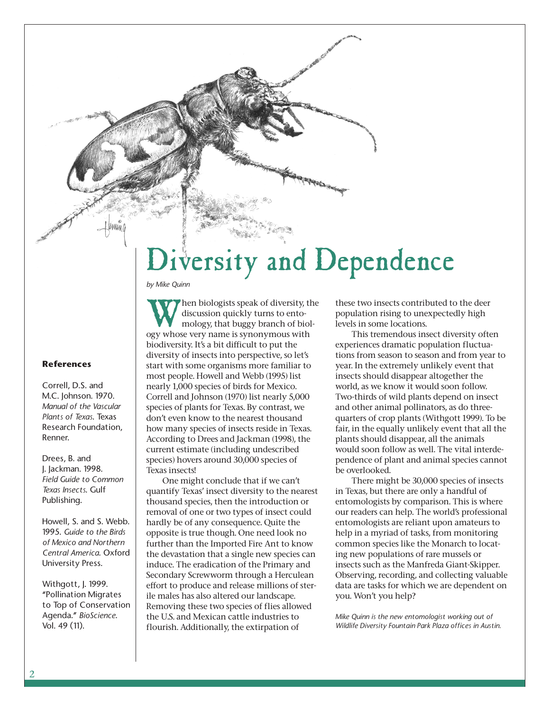# Diversity and Dependence

*by Mike Quinn*

**References**

Correll, D.S. and M.C. Johnson. 1970. *Manual of the Vascular Plants of Texas*. Texas Research Foundation, Renner.

Drees, B. and J. Jackman. 1998. *Field Guide to Common Texas Insects*. Gulf Publishing.

Howell, S. and S. Webb. 1995. *Guide to the Birds of Mexico and Northern Central America*. Oxford University Press.

Withgott, J. 1999. "Pollination Migrates to Top of Conservation Agenda." *BioScience*. Vol. 49 (11).

When biologists speak of diversity, the<br>discussion quickly turns to ento-<br>mology, that buggy branch of biol-<br>ogy whose very name is synonymous with discussion quickly turns to entomology, that buggy branch of biology whose very name is synonymous with biodiversity. It's a bit difficult to put the diversity of insects into perspective, so let's start with some organisms more familiar to most people. Howell and Webb (1995) list nearly 1,000 species of birds for Mexico. Correll and Johnson (1970) list nearly 5,000 species of plants for Texas. By contrast, we don't even know to the nearest thousand how many species of insects reside in Texas. According to Drees and Jackman (1998), the current estimate (including undescribed species) hovers around 30,000 species of Texas insects!

One might conclude that if we can't quantify Texas' insect diversity to the nearest thousand species, then the introduction or removal of one or two types of insect could hardly be of any consequence. Quite the opposite is true though. One need look no further than the Imported Fire Ant to know the devastation that a single new species can induce. The eradication of the Primary and Secondary Screwworm through a Herculean effort to produce and release millions of sterile males has also altered our landscape. Removing these two species of flies allowed the U.S. and Mexican cattle industries to flourish. Additionally, the extirpation of

these two insects contributed to the deer population rising to unexpectedly high levels in some locations.

This tremendous insect diversity often experiences dramatic population fluctuations from season to season and from year to year. In the extremely unlikely event that insects should disappear altogether the world, as we know it would soon follow. Two-thirds of wild plants depend on insect and other animal pollinators, as do threequarters of crop plants (Withgott 1999). To be fair, in the equally unlikely event that all the plants should disappear, all the animals would soon follow as well. The vital interdependence of plant and animal species cannot be overlooked.

There might be 30,000 species of insects in Texas, but there are only a handful of entomologists by comparison. This is where our readers can help. The world's professional entomologists are reliant upon amateurs to help in a myriad of tasks, from monitoring common species like the Monarch to locating new populations of rare mussels or insects such as the Manfreda Giant-Skipper. Observing, recording, and collecting valuable data are tasks for which we are dependent on you. Won't you help?

*Mike Quinn is the new entomologist working out of Wildlife Diversity Fountain Park Plaza offices in Austin.*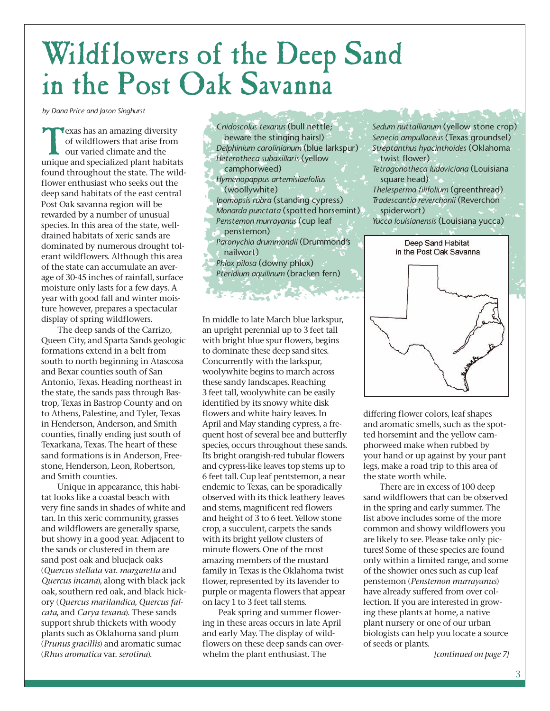# Wildflowers of the Deep Sand in the Post Oak Savanna

*by Dana Price and Jason Singhurst*

Texas has an amazing diversity<br>of wildflowers that arise from<br>our varied climate and the<br>unique and specialized plant habitats of wildflowers that arise from our varied climate and the found throughout the state. The wildflower enthusiast who seeks out the deep sand habitats of the east central Post Oak savanna region will be rewarded by a number of unusual species. In this area of the state, welldrained habitats of xeric sands are dominated by numerous drought tolerant wildflowers. Although this area of the state can accumulate an average of 30-45 inches of rainfall, surface moisture only lasts for a few days. A year with good fall and winter moisture however, prepares a spectacular display of spring wildflowers.

The deep sands of the Carrizo, Queen City, and Sparta Sands geologic formations extend in a belt from south to north beginning in Atascosa and Bexar counties south of San Antonio, Texas. Heading northeast in the state, the sands pass through Bastrop, Texas in Bastrop County and on to Athens, Palestine, and Tyler, Texas in Henderson, Anderson, and Smith counties, finally ending just south of Texarkana, Texas. The heart of these sand formations is in Anderson, Freestone, Henderson, Leon, Robertson, and Smith counties.

Unique in appearance, this habitat looks like a coastal beach with very fine sands in shades of white and tan. In this xeric community, grasses and wildflowers are generally sparse, but showy in a good year. Adjacent to the sands or clustered in them are sand post oak and bluejack oaks (*Quercus stellata* var. *margaretta* and *Quercus incana*), along with black jack oak, southern red oak, and black hickory (*Quercus marilandica*, *Quercus falcata*, and *Carya texana*). These sands support shrub thickets with woody plants such as Oklahoma sand plum (*Prunus gracillis*) and aromatic sumac (*Rhus aromatica* var. *serotina*).

*Cnidoscolus texanus* (bull nettle; beware the stinging hairs!) *Delphinium carolinianum* (blue larkspur) *Heterotheca subaxillaris* (yellow camphorweed) *Hymenopappus artemisiaefolius* (woollywhite) *Ipomopsis rubra* (standing cypress) *Monarda punctata* (spotted horsemint) *Penstemon murrayanus* (cup leaf penstemon) *Paronychia drummondii* (Drummond's nailwort) *Phlox pilosa* (downy phlox) *Pteridium aquilinum* (bracken fern)

**Expertised State** 

In middle to late March blue larkspur, an upright perennial up to 3 feet tall with bright blue spur flowers, begins to dominate these deep sand sites. Concurrently with the larkspur, woolywhite begins to march across these sandy landscapes. Reaching 3 feet tall, woolywhite can be easily identified by its snowy white disk flowers and white hairy leaves. In April and May standing cypress, a frequent host of several bee and butterfly species, occurs throughout these sands. Its bright orangish-red tubular flowers and cypress-like leaves top stems up to 6 feet tall. Cup leaf pentstemon, a near endemic to Texas, can be sporadically observed with its thick leathery leaves and stems, magnificent red flowers and height of 3 to 6 feet. Yellow stone crop, a succulent, carpets the sands with its bright yellow clusters of minute flowers. One of the most amazing members of the mustard family in Texas is the Oklahoma twist flower, represented by its lavender to purple or magenta flowers that appear on lacy 1 to 3 feet tall stems.

Peak spring and summer flowering in these areas occurs in late April and early May. The display of wildflowers on these deep sands can overwhelm the plant enthusiast. The

*Sedum nuttallianum* (yellow stone crop) *Senecio ampullaceus* (Texas groundsel) *Streptanthus hyacinthoides* (Oklahoma twist flower) *Tetragonotheca ludoviciana* (Louisiana

square head) *Thelesperma filifolium* (greenthread) *Tradescantia reverchonii* (Reverchon

spiderwort)

*Yucca louisianensis* (Louisiana yucca)



differing flower colors, leaf shapes and aromatic smells, such as the spotted horsemint and the yellow camphorweed make when rubbed by your hand or up against by your pant legs, make a road trip to this area of the state worth while.

There are in excess of 100 deep sand wildflowers that can be observed in the spring and early summer. The list above includes some of the more common and showy wildflowers you are likely to see. Please take only pictures! Some of these species are found only within a limited range, and some of the showier ones such as cup leaf penstemon (*Penstemon murrayanus*) have already suffered from over collection. If you are interested in growing these plants at home, a native plant nursery or one of our urban biologists can help you locate a source of seeds or plants.

*[continued on page 7]*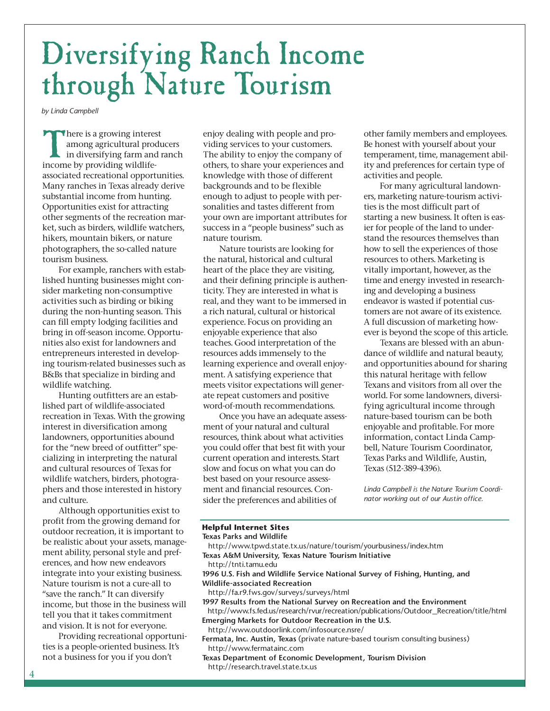# Diversifying Ranch Income through Nature Tourism

*by Linda Campbell*

There is a growing interest among agricultural producers in diversifying farm and ranch income by providing wildlifeassociated recreational opportunities. Many ranches in Texas already derive substantial income from hunting. Opportunities exist for attracting other segments of the recreation market, such as birders, wildlife watchers, hikers, mountain bikers, or nature photographers, the so-called nature tourism business.

For example, ranchers with established hunting businesses might consider marketing non-consumptive activities such as birding or biking during the non-hunting season. This can fill empty lodging facilities and bring in off-season income. Opportunities also exist for landowners and entrepreneurs interested in developing tourism-related businesses such as B&Bs that specialize in birding and wildlife watching.

Hunting outfitters are an established part of wildlife-associated recreation in Texas. With the growing interest in diversification among landowners, opportunities abound for the "new breed of outfitter" specializing in interpreting the natural and cultural resources of Texas for wildlife watchers, birders, photographers and those interested in history and culture.

Although opportunities exist to profit from the growing demand for outdoor recreation, it is important to be realistic about your assets, management ability, personal style and preferences, and how new endeavors integrate into your existing business. Nature tourism is not a cure-all to "save the ranch." It can diversify income, but those in the business will tell you that it takes commitment and vision. It is not for everyone.

Providing recreational opportunities is a people-oriented business. It's not a business for you if you don't

enjoy dealing with people and providing services to your customers. The ability to enjoy the company of others, to share your experiences and knowledge with those of different backgrounds and to be flexible enough to adjust to people with personalities and tastes different from your own are important attributes for success in a "people business" such as nature tourism.

Nature tourists are looking for the natural, historical and cultural heart of the place they are visiting, and their defining principle is authenticity. They are interested in what is real, and they want to be immersed in a rich natural, cultural or historical experience. Focus on providing an enjoyable experience that also teaches. Good interpretation of the resources adds immensely to the learning experience and overall enjoyment. A satisfying experience that meets visitor expectations will generate repeat customers and positive word-of-mouth recommendations.

Once you have an adequate assessment of your natural and cultural resources, think about what activities you could offer that best fit with your current operation and interests. Start slow and focus on what you can do best based on your resource assessment and financial resources. Consider the preferences and abilities of

other family members and employees. Be honest with yourself about your temperament, time, management ability and preferences for certain type of activities and people.

For many agricultural landowners, marketing nature-tourism activities is the most difficult part of starting a new business. It often is easier for people of the land to understand the resources themselves than how to sell the experiences of those resources to others. Marketing is vitally important, however, as the time and energy invested in researching and developing a business endeavor is wasted if potential customers are not aware of its existence. A full discussion of marketing however is beyond the scope of this article.

Texans are blessed with an abundance of wildlife and natural beauty, and opportunities abound for sharing this natural heritage with fellow Texans and visitors from all over the world. For some landowners, diversifying agricultural income through nature-based tourism can be both enjoyable and profitable. For more information, contact Linda Campbell, Nature Tourism Coordinator, Texas Parks and Wildlife, Austin, Texas (512-389-4396).

*Linda Campbell is the Nature Tourism Coordinator working out of our Austin office.*

#### **Helpful Internet Sites**

**Texas Parks and Wildlife**

- http://www.tpwd.state.tx.us/nature/tourism/yourbusiness/index.htm **Texas A&M University, Texas Nature Tourism Initiative**
- http://tnti.tamu.edu
- **1996 U.S. Fish and Wildlife Service National Survey of Fishing, Hunting, and Wildlife-associated Recreation**
- http://fa.r9.fws.gov/surveys/surveys/html

**1997 Results from the National Survey on Recreation and the Environment** http://www.fs.fed.us/research/rvur/recreation/publications/Outdoor\_Recreation/title/html

- **Emerging Markets for Outdoor Recreation in the U.S.** http://www.outdoorlink.com/infosource.nsre/
- **Fermata, Inc. Austin, Texas** (private nature-based tourism consulting business) http://www.fermatainc.com
- **Texas Department of Economic Development, Tourism Division** http://research.travel.state.tx.us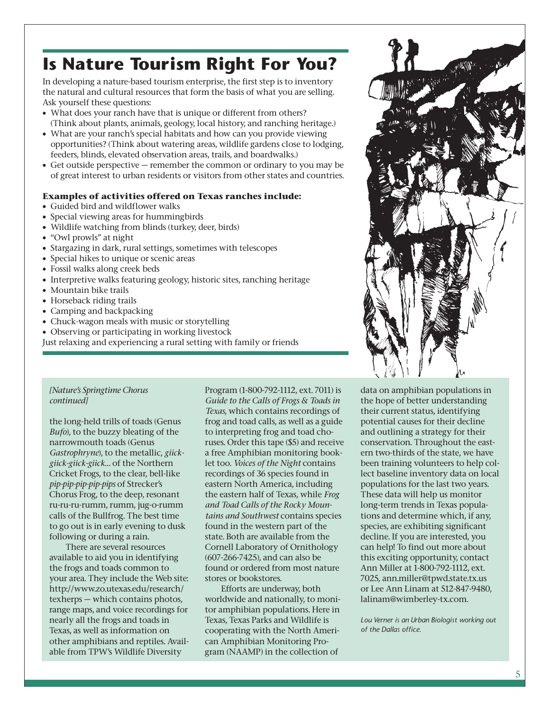### **Is Nature Tourism Right For You?**

In developing a nature-based tourism enterprise, the first step is to inventory the natural and cultural resources that form the basis of what you are selling. Ask yourself these questions:

- What does your ranch have that is unique or different from others? (Think about plants, animals, geology, local history, and ranching heritage.)
- What are your ranch's special habitats and how can you provide viewing opportunities? (Think about watering areas, wildlife gardens close to lodging, feeders, blinds, elevated observation areas, trails, and boardwalks.)
- Get outside perspective remember the common or ordinary to you may be of great interest to urban residents or visitors from other states and countries.

### **Examples of activities offered on Texas ranches include:**

- Guided bird and wildflower walks
- Special viewing areas for hummingbirds
- Wildlife watching from blinds (turkey, deer, birds)
- "Owl prowls" at night
- Stargazing in dark, rural settings, sometimes with telescopes
- Special hikes to unique or scenic areas
- Fossil walks along creek beds
- Interpretive walks featuring geology, historic sites, ranching heritage
- Mountain bike trails
- Horseback riding trails
- Camping and backpacking
- Chuck-wagon meals with music or storytelling
- Observing or participating in working livestock
- Just relaxing and experiencing a rural setting with family or friends

### *[Nature's Springtime Chorus continued]*

the long-held trills of toads (Genus *Bufo*), to the buzzy bleating of the narrowmouth toads (Genus *Gastrophryne*), to the metallic, *giickgiick-giick-giick…* of the Northern Cricket Frogs, to the clear, bell-like *pip-pip-pip-pip-pips* of Strecker's Chorus Frog, to the deep, resonant ru-ru-ru-rumm, rumm, jug-o-rumm calls of the Bullfrog. The best time to go out is in early evening to dusk following or during a rain.

There are several resources available to aid you in identifying the frogs and toads common to your area. They include the Web site: http://www.zo.utexas.edu/research/ texherps — which contains photos, range maps, and voice recordings for nearly all the frogs and toads in Texas, as well as information on other amphibians and reptiles. Available from TPW's Wildlife Diversity

Program (1-800-792-1112, ext. 7011) is *Guide to the Calls of Frogs & Toads in Texas*, which contains recordings of frog and toad calls, as well as a guide to interpreting frog and toad choruses. Order this tape (\$5) and receive a free Amphibian monitoring booklet too. *Voices of the Night* contains recordings of 36 species found in eastern North America, including the eastern half of Texas, while *Frog and Toad Calls of the Rocky Mountains and Southwest* contains species found in the western part of the state. Both are available from the Cornell Laboratory of Ornithology (607-266-7425), and can also be found or ordered from most nature stores or bookstores.

Efforts are underway, both worldwide and nationally, to monitor amphibian populations. Here in Texas, Texas Parks and Wildlife is cooperating with the North American Amphibian Monitoring Program (NAAMP) in the collection of

data on amphibian populations in the hope of better understanding their current status, identifying potential causes for their decline and outlining a strategy for their conservation. Throughout the eastern two-thirds of the state, we have been training volunteers to help collect baseline inventory data on local populations for the last two years. These data will help us monitor long-term trends in Texas populations and determine which, if any, species, are exhibiting significant decline. If you are interested, you can help! To find out more about this exciting opportunity, contact Ann Miller at 1-800-792-1112, ext. 7025, ann.miller@tpwd.state.tx.us or Lee Ann Linam at 512-847-9480, lalinam@wimberley-tx.com.

*Lou Verner is an Urban Biologist working out of the Dallas office.*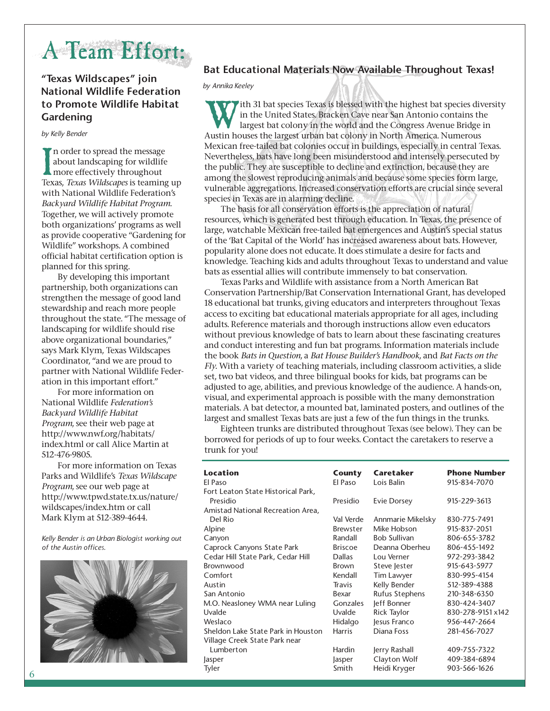### A Team Effort:

### **"Texas Wildscapes" join National Wildlife Federation to Promote Wildlife Habitat Gardening**

### *by Kelly Bender*

In order to spread the message<br>about landscaping for wildlife<br>more effectively throughout<br>Texas, *Texas Wildscapes* is teaming up n order to spread the message about landscaping for wildlife more effectively throughout with National Wildlife Federation's *Backyard Wildlife Habitat Program.* Together, we will actively promote both organizations' programs as well as provide cooperative "Gardening for Wildlife" workshops. A combined official habitat certification option is planned for this spring.

By developing this important partnership, both organizations can strengthen the message of good land stewardship and reach more people throughout the state. "The message of landscaping for wildlife should rise above organizational boundaries," says Mark Klym, Texas Wildscapes Coordinator, "and we are proud to partner with National Wildlife Federation in this important effort."

For more information on National Wildlife *Federation's Backyard Wildlife Habitat Program*, see their web page at http://www.nwf.org/habitats/ index.html or call Alice Martin at 512-476-9805.

For more information on Texas Parks and Wildlife's *Texas Wildscape Program*, see our web page at http://www.tpwd.state.tx.us/nature/ wildscapes/index.htm or call Mark Klym at 512-389-4644.

*Kelly Bender is an Urban Biologist working out of the Austin offices.*



### **Bat Educational Materials Now Available Throughout Texas!**

*by Annika Keeley*

ith 31 bat species Texas is blessed with the highest bat species diversity in the United States. Bracken Cave near San Antonio contains the largest bat colony in the world and the Congress Avenue Bridge in Austin houses the largest urban bat colony in North America. Numerous Mexican free-tailed bat colonies occur in buildings, especially in central Texas. Nevertheless, bats have long been misunderstood and intensely persecuted by the public. They are susceptible to decline and extinction, because they are among the slowest reproducing animals and because some species form large, vulnerable aggregations. Increased conservation efforts are crucial since several species in Texas are in alarming decline.

The basis for all conservation efforts is the appreciation of natural resources, which is generated best through education. In Texas, the presence of large, watchable Mexican free-tailed bat emergences and Austin's special status of the 'Bat Capital of the World' has increased awareness about bats. However, popularity alone does not educate. It does stimulate a desire for facts and knowledge. Teaching kids and adults throughout Texas to understand and value bats as essential allies will contribute immensely to bat conservation.

Texas Parks and Wildlife with assistance from a North American Bat Conservation Partnership/Bat Conservation International Grant, has developed 18 educational bat trunks, giving educators and interpreters throughout Texas access to exciting bat educational materials appropriate for all ages, including adults. Reference materials and thorough instructions allow even educators without previous knowledge of bats to learn about these fascinating creatures and conduct interesting and fun bat programs. Information materials include the book *Bats in Question*, a *Bat House Builder's Handbook*, and *Bat Facts on the Fly*. With a variety of teaching materials, including classroom activities, a slide set, two bat videos, and three bilingual books for kids, bat programs can be adjusted to age, abilities, and previous knowledge of the audience. A hands-on, visual, and experimental approach is possible with the many demonstration materials. A bat detector, a mounted bat, laminated posters, and outlines of the largest and smallest Texas bats are just a few of the fun things in the trunks.

Eighteen trunks are distributed throughout Texas (see below). They can be borrowed for periods of up to four weeks. Contact the caretakers to reserve a trunk for you!

| <b>Location</b>                    | County          | Caretaker             | <b>Phone Number</b> |
|------------------------------------|-----------------|-----------------------|---------------------|
| El Paso                            | El Paso         | Lois Balin            | 915-834-7070        |
| Fort Leaton State Historical Park, |                 |                       |                     |
| Presidio                           | Presidio        | <b>Evie Dorsey</b>    | 915-229-3613        |
| Amistad National Recreation Area,  |                 |                       |                     |
| Del Rio                            | Val Verde       | Annmarie Mikelsky     | 830-775-7491        |
| Alpine                             | <b>Brewster</b> | Mike Hobson           | 915-837-2051        |
| Canyon                             | Randall         | <b>Bob Sullivan</b>   | 806-655-3782        |
| Caprock Canyons State Park         | <b>Briscoe</b>  | Deanna Oberheu        | 806-455-1492        |
| Cedar Hill State Park, Cedar Hill  | <b>Dallas</b>   | Lou Verner            | 972-293-3842        |
| Brownwood                          | <b>Brown</b>    | Steve lester          | 915-643-5977        |
| Comfort                            | Kendall         | Tim Lawyer            | 830-995-4154        |
| Austin                             | Travis          | Kelly Bender          | 512-389-4388        |
| San Antonio                        | Bexar           | <b>Rufus Stephens</b> | 210-348-6350        |
| M.O. Neasloney WMA near Luling     | Gonzales        | leff Bonner           | 830-424-3407        |
| Uvalde                             | Uvalde          | Rick Taylor           | 830-278-9151 x142   |
| Weslaco                            | Hidalgo         | lesus Franco          | 956-447-2664        |
| Sheldon Lake State Park in Houston | <b>Harris</b>   | Diana Foss            | 281-456-7027        |
| Village Creek State Park near      |                 |                       |                     |
| Lumberton                          | Hardin          | Jerry Rashall         | 409-755-7322        |
| Jasper                             | <i>lasper</i>   | Clayton Wolf          | 409-384-6894        |
| Tyler                              | Smith           | Heidi Kryger          | 903-566-1626        |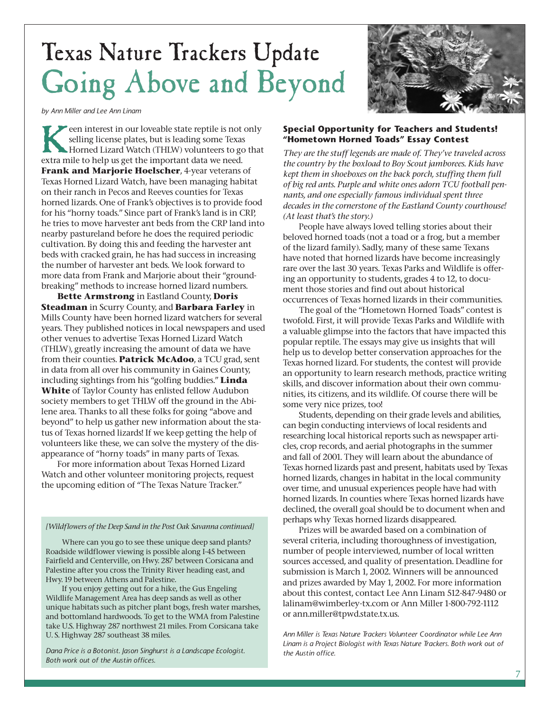## Texas Nature Trackers Update Going Above and Beyond

*by Ann Miller and Lee Ann Linam*

een interest in our loveable state reptile is not only selling license plates, but is leading some Texas Horned Lizard Watch (THLW) volunteers to go that extra mile to help us get the important data we need. **Frank and Marjorie Hoelscher**, 4-year veterans of Texas Horned Lizard Watch, have been managing habitat on their ranch in Pecos and Reeves counties for Texas horned lizards. One of Frank's objectives is to provide food for his "horny toads." Since part of Frank's land is in CRP, he tries to move harvester ant beds from the CRP land into nearby pastureland before he does the required periodic cultivation. By doing this and feeding the harvester ant beds with cracked grain, he has had success in increasing the number of harvester ant beds. We look forward to more data from Frank and Marjorie about their "groundbreaking" methods to increase horned lizard numbers.

**Bette Armstrong** in Eastland County, **Doris Steadman** in Scurry County, and **Barbara Farley** in Mills County have been horned lizard watchers for several years. They published notices in local newspapers and used other venues to advertise Texas Horned Lizard Watch (THLW), greatly increasing the amount of data we have from their counties. **Patrick McAdoo**, a TCU grad, sent in data from all over his community in Gaines County, including sightings from his "golfing buddies." **Linda White** of Taylor County has enlisted fellow Audubon society members to get THLW off the ground in the Abilene area. Thanks to all these folks for going "above and beyond" to help us gather new information about the status of Texas horned lizards! If we keep getting the help of volunteers like these, we can solve the mystery of the disappearance of "horny toads" in many parts of Texas.

For more information about Texas Horned Lizard Watch and other volunteer monitoring projects, request the upcoming edition of "The Texas Nature Tracker."

#### *[Wildflowers of the Deep Sand in the Post Oak Savanna continued]*

Where can you go to see these unique deep sand plants? Roadside wildflower viewing is possible along I-45 between Fairfield and Centerville, on Hwy. 287 between Corsicana and Palestine after you cross the Trinity River heading east, and Hwy. 19 between Athens and Palestine.

If you enjoy getting out for a hike, the Gus Engeling Wildlife Management Area has deep sands as well as other unique habitats such as pitcher plant bogs, fresh water marshes, and bottomland hardwoods. To get to the WMA from Palestine take U.S. Highway 287 northwest 21 miles. From Corsicana take U. S. Highway 287 southeast 38 miles.

*Dana Price is a Botonist. Jason Singhurst is a Landscape Ecologist. Both work out of the Austin offices.*

### **Special Opportunity for Teachers and Students! "Hometown Horned Toads" Essay Contest**

*They are the stuff legends are made of. They've traveled across the country by the boxload to Boy Scout jamborees. Kids have kept them in shoeboxes on the back porch, stuffing them full of big red ants. Purple and white ones adorn TCU football pennants, and one especially famous individual spent three decades in the cornerstone of the Eastland County courthouse! (At least that's the story.)* 

People have always loved telling stories about their beloved horned toads (not a toad or a frog, but a member of the lizard family). Sadly, many of these same Texans have noted that horned lizards have become increasingly rare over the last 30 years. Texas Parks and Wildlife is offering an opportunity to students, grades 4 to 12, to document those stories and find out about historical occurrences of Texas horned lizards in their communities.

The goal of the "Hometown Horned Toads" contest is twofold. First, it will provide Texas Parks and Wildlife with a valuable glimpse into the factors that have impacted this popular reptile. The essays may give us insights that will help us to develop better conservation approaches for the Texas horned lizard. For students, the contest will provide an opportunity to learn research methods, practice writing skills, and discover information about their own communities, its citizens, and its wildlife. Of course there will be some very nice prizes, too!

Students, depending on their grade levels and abilities, can begin conducting interviews of local residents and researching local historical reports such as newspaper articles, crop records, and aerial photographs in the summer and fall of 2001. They will learn about the abundance of Texas horned lizards past and present, habitats used by Texas horned lizards, changes in habitat in the local community over time, and unusual experiences people have had with horned lizards. In counties where Texas horned lizards have declined, the overall goal should be to document when and perhaps why Texas horned lizards disappeared.

Prizes will be awarded based on a combination of several criteria, including thoroughness of investigation, number of people interviewed, number of local written sources accessed, and quality of presentation. Deadline for submission is March 1, 2002. Winners will be announced and prizes awarded by May 1, 2002. For more information about this contest, contact Lee Ann Linam 512-847-9480 or lalinam@wimberley-tx.com or Ann Miller 1-800-792-1112 or ann.miller@tpwd.state.tx.us.

*Ann Miller is Texas Nature Trackers Volunteer Coordinator while Lee Ann Linam is a Project Biologist with Texas Nature Trackers. Both work out of the Austin office.*